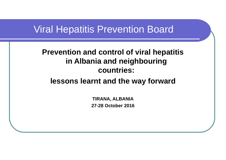#### Viral Hepatitis Prevention Board

#### **Prevention and control of viral hepatitis in Albania and neighbouring countries:**

#### **lessons learnt and the way forward**

**TIRANA, ALBANIA 27-28 October 2016**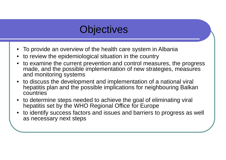## **Objectives**

- •To provide an overview of the health care system in Albania
- •to review the epidemiological situation in the country
- • to examine the current prevention and control measures, the progress made, and the possible implementation of new strategies, measures and monitoring systems
- to discuss the development and implementation of a national viral hepatitis plan and the possible implications for neighbouring Balkan countries
- to determine steps needed to achieve the goal of eliminating viral hepatitis set by the WHO Regional Office for Europe
- • to identify success factors and issues and barriers to progress as well as necessary next steps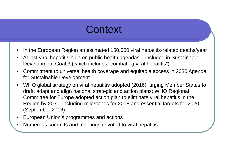### **Context**

- •In the European Region an estimated 150,000 viral hepatitis-related deaths/year
- • At last viral hepatitis high on public health agendas – included in Sustainable Development Goal 3 (which includes "combating viral hepatitis")
- • Commitment to universal health coverage and equitable access in 2030 Agenda for Sustainable Development
- • WHO global strategy on viral hepatitis adopted (2016), urging Member States to draft, adapt and align national strategic and action plans; WHO Regional Committee for Europe adopted action plan to eliminate viral hepatitis in the Region by 2030, including milestones for 2018 and essential targets for 2020 (September 2016)
- •European Union's programmes and actions
- •Numerous summits and meetings devoted to viral hepatitis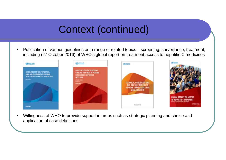## Context (continued)

• Publication of various guidelines on a range of related topics – screening, surveillance, treatment; including (27 October 2016) of WHO's global report on treatment access to hepatitis C medicines



• Willingness of WHO to provide support in areas such as strategic planning and choice and application of case definitions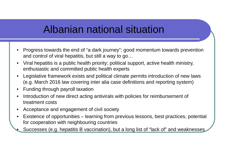### Albanian national situation

- • Progress towards the end of "a dark journey"; good momentum towards prevention and control of viral hepatitis, but still a way to go…
- • Viral hepatitis is a public health priority; political support, active health ministry, enthusiastic and committed public health experts
- $\bullet$  Legislative framework exists and political climate permits introduction of new laws (e.g. March 2016 law covering inter alia case definitions and reporting system)
- •Funding through payroll taxation

•

- • Introduction of new direct acting antivirals with policies for reimbursement of treatment costs
- •Acceptance and engagement of civil society
- $\bullet$  Existence of opportunities – learning from previous lessons, best practices, potential for cooperation with neighbouring countries
	- Successes (e.g. hepatitis B vaccination), but a long list of "lack of" and weaknesses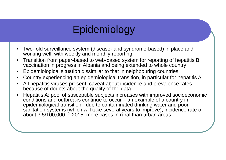## Epidemiology

- • Two-fold surveillance system (disease- and syndrome-based) in place and working well, with weekly and monthly reporting
- • Transition from paper-based to web-based system for reporting of hepatitis B vaccination in progress in Albania and being extended to whole country
- •Epidemiological situation dissimilar to that in neighbouring countries
- •Country experiencing an epidemiological transition, in particular for hepatitis A
- • All hepatitis viruses present; caveat about incidence and prevalence rates because of doubts about the quality of the data
- • Hepatitis A: pool of susceptible subjects increases with improved socioeconomic conditions and outbreaks continue to occur – an example of a country in epidemiological transition - due to contaminated drinking water and poor sanitation systems (which will take several years to improve); incidence rate of about 3.5/100,000 in 2015; more cases in rural than urban areas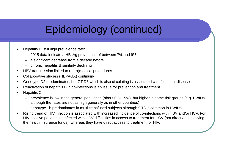# Epidemiology (continued)

- • Hepatitis B: still high prevalence rate:
	- 2015 data indicate a HBsAg prevalence of between 7% and 9%
	- –a significant decrease from a decade before
	- chronic hepatitis B similarly declining
- •HBV transmission linked to (para)medical procedures
- •Collaborative studies (HEPAGA) continuing
- •Genotype D2 predominates, but GT D3 which is also circulating is associated with fulminant disease
- •Reactivation of hepatitis B in co-infections is an issue for prevention and treatment
- •Hepatitis C:
	- prevalence is low in the general population (about 0.5-1.5%), but higher in some risk groups (e.g. PWIDs although the rates are not as high generally as in other countries)
	- genotype 1b predominates in multi-transfused subjects although GT3 is common in PWIDs
- • Rising trend of HIV infection is associated with increased incidence of co-infections with HBV and/or HCV. For HIV-positive patients co-infected with HCV difficulties in access to treatment for HCV (not direct and involving the health insurance funds), whereas they have direct access to treatment for HIV.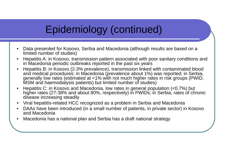# Epidemiology (continued)

- $\bullet$  Data presented for Kosovo, Serbia and Macedonia (although results are based on a limited number of studies)
- • Hepatitis A: in Kosovo, transmission pattern associated with poor sanitary conditions and in Macedonia periodic outbreaks reported in the past six years
- • Hepatitis B: in Kosovo (2-3% prevalence), transmission linked with contaminated blood and medical procedures; in Macedonia (prevalence about 1%) was reported; in Serbia, generally low rates (estimated at <1% with not much higher rates in risk groups (PWID, MSM and haemodialysis patients) but limited number of studies)
- • Hepatitis C: in Kosovo and Macedonia, low rates in general population (<0.7%) but higher rates (27-38% and about 80%, respectively) in PWIDs; in Serbia, rates of chronic disease increasing steadily
- •Viral hepatitis-related HCC recognized as a problem in Serbia and Macedonia
- $\bullet$  DAAs have been introduced (in a small number of patients, in private sector) in Kosovo and Macedonia
- •Macedonia has a national plan and Serbia has a draft national strategy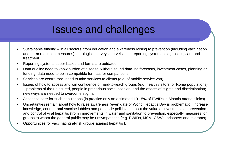### Issues and challenges

- • Sustainable funding – in all sectors, from education and awareness raising to prevention (including vaccination and harm reduction measures), serological surveys, surveillance, reporting systems, diagnostics, care and treatment
- •Reporting systems paper-based and forms are outdated
- • Data quality: need to know burden of disease: without sound data, no forecasts, investment cases, planning or funding; data need to be in compatible formats for comparisons
- •Services are centralized; need to take services to clients (e.g. of mobile service van)
- • Issues of how to access and win confidence of hard-to-reach groups (e.g. health visitors for Roma populations) – problems of the uninsured, people in precarious social position, and the effects of stigma and discrimination; new ways are needed to overcome stigma
- •Access to care for such populations (in practice only an estimated 10-15% of PWIDs in Albania attend clinics)
- • Uncertainties remain about how to raise awareness (even date of World Hepatitis Day is problematic), increase knowledge, counter anti-vaccine lobbies and persuade politicians about the value of investments in prevention and control of viral hepatitis (from improvements in water and sanitation to prevention, especially measures for groups to whom the general public may be unsympathetic (e.g. PWIDs, MSM, CSWs, prisoners and migrants)
- •Opportunities for vaccinating at-risk groups against hepatitis B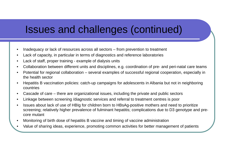### Issues and challenges (continued)

- •Inadequacy or lack of resources across all sectors – from prevention to treatment
- •Lack of capacity, in particular in terms of diagnostics and reference laboratories
- •Lack of staff, proper training - example of dialysis units
- •Collaboration between different units and disciplines, e.g. coordination of pre- and peri-natal care teams
- • Potential for regional collaboration – several examples of successful regional cooperation, especially in the health sector
- • Hepatitis B vaccination policies: catch-up campaigns for adolescents in Albania but not in neighboring countries
- •Cascade of care – there are organizational issues, including the private and public sectors
- •Linkage between screening /diagnostic services and referral to treatment centres is poor
- • Issues about lack of use of HBIg for children born to HBsAg-positive mothers and need to prioritize screening; relatively higher prevalence of fulminant hepatitis; complications due to D3 genotype and precore mutant
- •Monitoring of birth dose of hepatitis B vaccine and timing of vaccine administration
- •Value of sharing ideas, experience, promoting common activities for better management of patients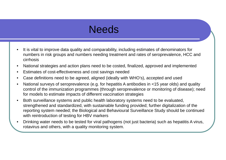### **Needs**

- • It is vital to improve data quality and comparability, including estimates of denominators for numbers in risk groups and numbers needing treatment and rates of seroprevalence, HCC and cirrhosis
- •National strategies and action plans need to be costed, finalized, approved and implemented
- •Estimates of cost-effectiveness and cost savings needed
- •Case definitions need to be agreed, aligned (ideally with WHO's), accepted and used
- • National surveys of seroprevalence (e.g. for hepatitis A antibodies in <15 year olds) and quality control of the immunization programmes (through seroprevalence or monitoring of disease); need for models to estimate impacts of different vaccination strategies
- • Both surveillance systems and public health laboratory systems need to be evaluated, strengthened and standardized, with sustainable funding provided; further digitalization of the reporting system needed; the Biological and Behavioural Surveillance Study should be continued with reintroduction of testing for HBV markers
- • Drinking water needs to be tested for viral pathogens (not just bacteria) such as hepatitis A virus, rotavirus and others, with a quality monitoring system.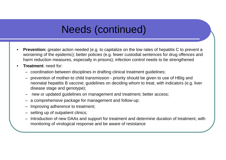## Needs (continued)

- • **Prevention:** greater action needed (e.g. to capitalize on the low rates of hepatitis C to prevent a worsening of the epidemic); better policies (e.g. fewer custodial sentences for drug offences and harm reduction measures, especially in prisons); infection control needs to be strengthened
- • **Treatment**: need for:
	- coordination between disciplines in drafting clinical treatment guidelines;
	- prevention of mother-to child transmission priority should be given to use of HBIg and neonatal hepatitis B vaccine; guidelines on deciding whom to treat, with indicators (e.g. liver disease stage and genotype);
	- new or updated guidelines on management and treatment; better access;
	- a comprehensive package for management and follow-up;
	- Improving adherence to treatment;
	- setting up of outpatient clinics;
	- Introduction of new DAAs and support for treatment and determine duration of treatment, with monitoring of virological response and be aware of resistance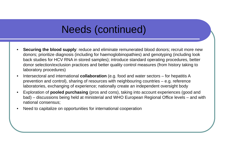## Needs (continued)

- • **Securing the blood supply**: reduce and eliminate remunerated blood donors; recruit more new donors; prioritize diagnosis (including for haemoglobinopathies) and genotyping (including look back studies for HCV RNA in stored samples); introduce standard operating procedures, better donor selection/exclusion practices and better quality control measures (from history taking to laboratory procedures)
- • Intersectoral and international **collaboration** (e.g. food and water sectors – for hepatitis A prevention and control), sharing of resources with neighbouring countries – e.g. reference laboratories, exchanging of experience; nationally create an independent oversight body
- • Exploration of **pooled purchasing** (pros and cons), taking into account experiences (good and bad) – discussions being held at ministerial and WHO European Regional Office levels – and with national consensus;
- •Need to capitalize on opportunities for international cooperation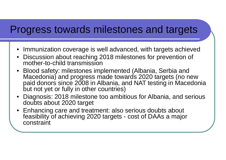### Progress towards milestones and targets

- Immunization coverage is well advanced, with targets achieved
- $\bullet$  Discussion about reaching 2018 milestones for prevention of mother-to-child transmission
- Blood safety: milestones implemented (Albania, Serbia and Macedonia) and progress made towards 2020 targets (no new paid donors since 2008 in Albania, and NAT testing in Macedonia but not yet or fully in other countries)
- Diagnosis: 2018 milestone too ambitious for Albania, and serious doubts about 2020 target
- Enhancing care and treatment: also serious doubts about feasibility of achieving 2020 targets - cost of DAAs a major constraint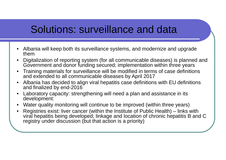### Solutions: surveillance and data

- Albania will keep both its surveillance systems, and modernize and upgrade them
- • Digitalization of reporting system (for all communicable diseases) is planned and Government and donor funding secured; implementation within three years
- • Training materials for surveillance will be modified in terms of case definitions and extended to all communicable diseases by April 2017
- $\bullet$  Albania has decided to align viral hepatitis case definitions with EU definitions and finalized by end-2016
- • Laboratory capacity: strengthening will need a plan and assistance in its development:
- •Water quality monitoring will continue to be improved (within three years)
- • Registries exist: liver cancer (within the Institute of Public Health) – links with viral hepatitis being developed; linkage and location of chronic hepatitis B and C registry under discussion (but that action is a priority)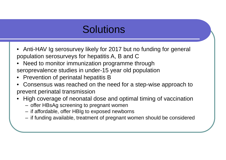## **Solutions**

- Anti-HAV Ig serosurvey likely for 2017 but no funding for general population serosurveys for hepatitis A, B and C
- • Need to monitor immunization programme through seroprevalence studies in under-15 year old population
- •Prevention of perinatal hepatitis B
- • Consensus was reached on the need for a step-wise approach to prevent perinatal transmission
- • High coverage of neonatal dose and optimal timing of vaccination
	- –offer HBsAg screening to pregnant women
	- if affordable, offer HBIg to exposed newborns
	- if funding available, treatment of pregnant women should be considered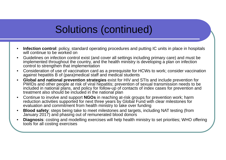# Solutions (continued)

- • **Infection control**: policy, standard operating procedures and putting IC units in place in hospitals will continue to be worked on
- • Guidelines on infection control exist (and cover all settings including primary care) and must be implemented throughout the country, and the health ministry is developing a plan on infection control to strengthen that implementation
- • Consideration of use of vaccination card as a prerequisite for HCWs to work; consider vaccination against hepatitis B of (para)medical staff and medical students
- $\bullet$  **Global and national prevention strategies** exist for HIV and STIs and include prevention for PWIDs and other people at risk of viral hepatitis; prevention of sexual transmission needs to be included in national plans, and policy for follow-up of contacts of index cases for prevention and treatment also should be included in the national plan
- • Continue to involve and support **NGOs** in reaching at-risk groups for prevention work; harm reduction activities supported for next three years by Global Fund with clear milestones for evaluation and commitment from health ministry to take over funding
- • **Blood safety**: steps being take to meet milestones and targets, including NAT testing (from January 2017) and phasing out of remunerated blood donors
- • **Diagnosis**: costing and modelling exercises will help health ministry to set priorities; WHO offering tools for all costing exercises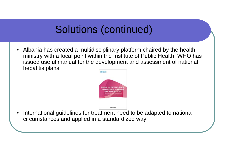# Solutions (continued)

• Albania has created a multidisciplinary platform chaired by the health ministry with a focal point within the Institute of Public Health; WHO has issued useful manual for the development and assessment of national hepatitis plans



• International guidelines for treatment need to be adapted to national circumstances and applied in a standardized way